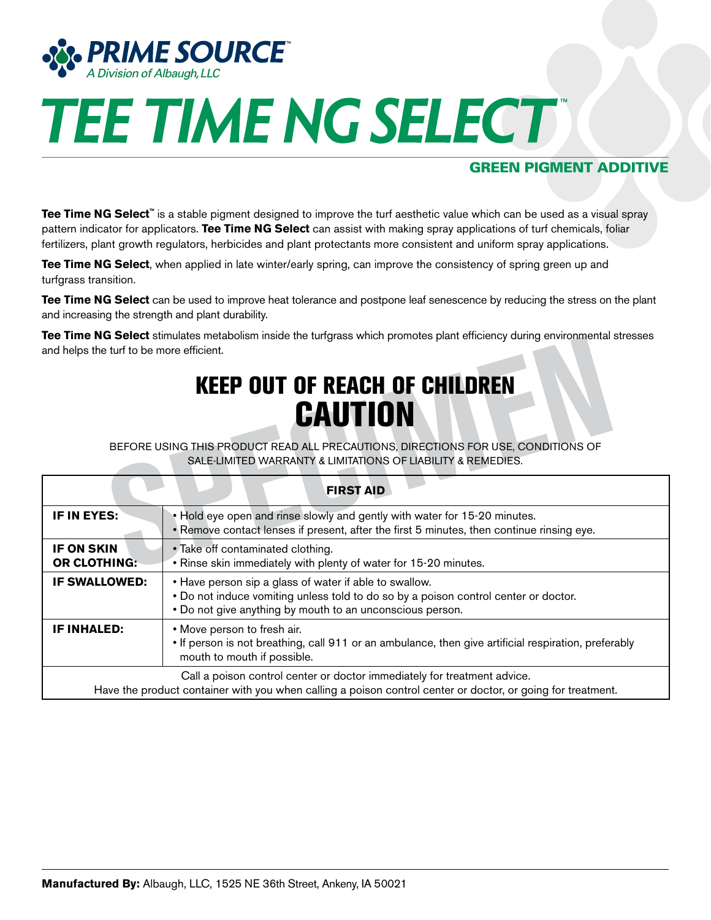

# **TEE TIME NG SELECT**

# GREEN PIGMENT ADDITIVE

**Tee Time NG Select**<sup>™</sup> is a stable pigment designed to improve the turf aesthetic value which can be used as a visual spray pattern indicator for applicators. **Tee Time NG Select** can assist with making spray applications of turf chemicals, foliar fertilizers, plant growth regulators, herbicides and plant protectants more consistent and uniform spray applications.

**Tee Time NG Select**, when applied in late winter/early spring, can improve the consistency of spring green up and turfgrass transition.

**Tee Time NG Select** can be used to improve heat tolerance and postpone leaf senescence by reducing the stress on the plant and increasing the strength and plant durability.

**Tee Time NG Select** stimulates metabolism inside the turfgrass which promotes plant efficiency during environmental stresses and helps the turf to be more efficient.

# KEEP OUT OF REACH OF CHILDREN **CAUTION**

| <b>ICC THILE TVG SCIECI</b> Sufficiales includedly inside the turglass which promotes plant emolency during chynolitichiai stresses<br>and helps the turf to be more efficient.         |                                                                                                                                                                                                            |
|-----------------------------------------------------------------------------------------------------------------------------------------------------------------------------------------|------------------------------------------------------------------------------------------------------------------------------------------------------------------------------------------------------------|
| <b>KEEP OUT OF REACH OF CHILDREN</b><br><b>CAUTION</b>                                                                                                                                  |                                                                                                                                                                                                            |
| BEFORE USING THIS PRODUCT READ ALL PRECAUTIONS, DIRECTIONS FOR USE, CONDITIONS OF<br>SALE-LIMITED WARRANTY & LIMITATIONS OF LIABILITY & REMEDIES.                                       |                                                                                                                                                                                                            |
| <b>FIRST AID</b>                                                                                                                                                                        |                                                                                                                                                                                                            |
| IF IN EYES:                                                                                                                                                                             | . Hold eye open and rinse slowly and gently with water for 15-20 minutes.<br>. Remove contact lenses if present, after the first 5 minutes, then continue rinsing eye.                                     |
| <b>IF ON SKIN</b><br><b>OR CLOTHING:</b>                                                                                                                                                | • Take off contaminated clothing.<br>. Rinse skin immediately with plenty of water for 15-20 minutes.                                                                                                      |
| <b>IF SWALLOWED:</b>                                                                                                                                                                    | • Have person sip a glass of water if able to swallow.<br>• Do not induce vomiting unless told to do so by a poison control center or doctor.<br>. Do not give anything by mouth to an unconscious person. |
| <b>IF INHALED:</b>                                                                                                                                                                      | • Move person to fresh air.<br>• If person is not breathing, call 911 or an ambulance, then give artificial respiration, preferably<br>mouth to mouth if possible.                                         |
| Call a poison control center or doctor immediately for treatment advice.<br>Have the product container with you when calling a poison control center or doctor, or going for treatment. |                                                                                                                                                                                                            |